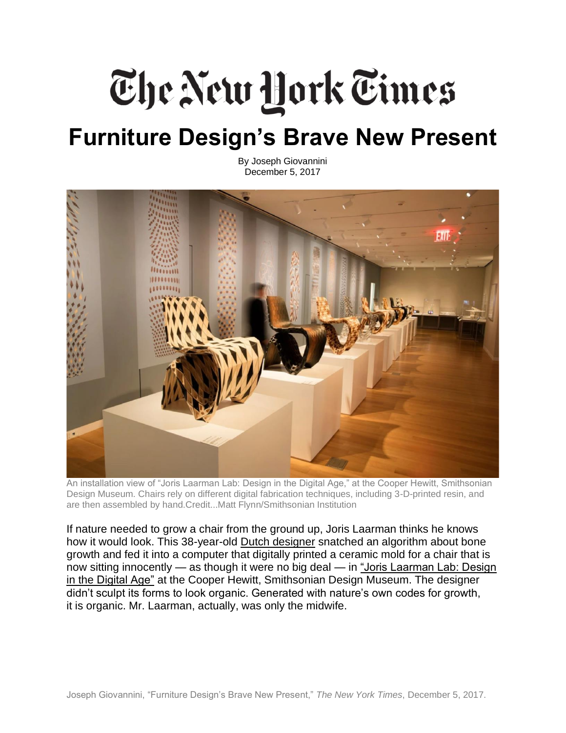## The New Hork Times **Furniture Design's Brave New Present**

By Joseph Giovannini December 5, 2017



An installation view of "Joris Laarman Lab: Design in the Digital Age," at the Cooper Hewitt, Smithsonian Design Museum. Chairs rely on different digital fabrication techniques, including 3-D-printed resin, and are then assembled by hand.Credit...Matt Flynn/Smithsonian Institution

If nature needed to grow a chair from the ground up, Joris Laarman thinks he knows how it would look. This 38-year-old [Dutch designer](http://www.jorislaarman.com/) snatched an algorithm about bone growth and fed it into a computer that digitally printed a ceramic mold for a chair that is now sitting innocently — as though it were no big deal — in "Joris Laarman Lab: Design [in the Digital Age"](https://www.cooperhewitt.org/exhibition/joris-laarman-lab-design-in-the-digital-age/) at the Cooper Hewitt, Smithsonian Design Museum. The designer didn't sculpt its forms to look organic. Generated with nature's own codes for growth, it is organic. Mr. Laarman, actually, was only the midwife.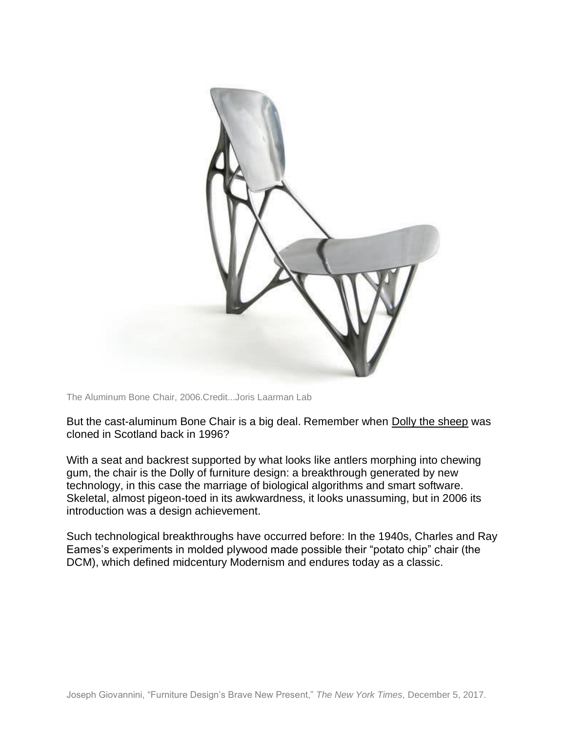

The Aluminum Bone Chair, 2006.Credit...Joris Laarman Lab

But the cast-aluminum Bone Chair is a big deal. Remember when [Dolly the sheep](http://www.nytimes.com/2013/10/14/booming/the-clone-named-dolly.html) was cloned in Scotland back in 1996?

With a seat and backrest supported by what looks like antlers morphing into chewing gum, the chair is the Dolly of furniture design: a breakthrough generated by new technology, in this case the marriage of biological algorithms and smart software. Skeletal, almost pigeon-toed in its awkwardness, it looks unassuming, but in 2006 its introduction was a design achievement.

Such technological breakthroughs have occurred before: In the 1940s, Charles and Ray Eames's experiments in molded plywood made possible their "potato chip" chair (the DCM), which defined midcentury Modernism and endures today as a classic.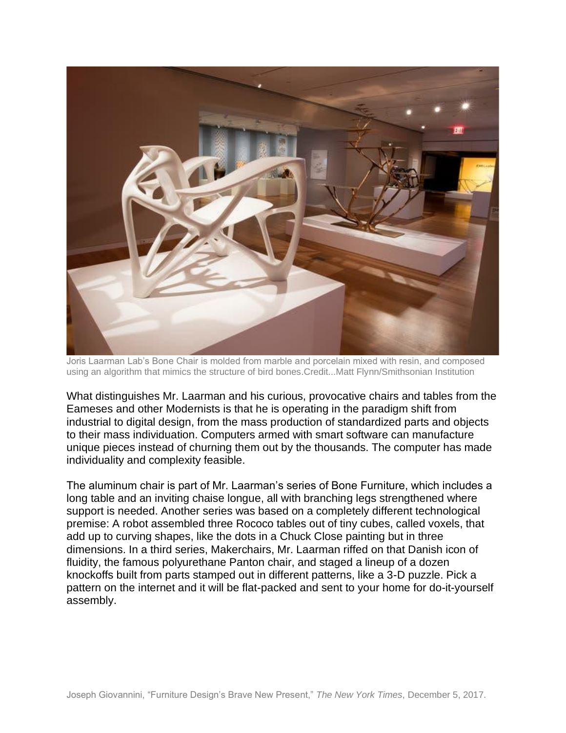

Joris Laarman Lab's Bone Chair is molded from marble and porcelain mixed with resin, and composed using an algorithm that mimics the structure of bird bones.Credit...Matt Flynn/Smithsonian Institution

What distinguishes Mr. Laarman and his curious, provocative chairs and tables from the Eameses and other Modernists is that he is operating in the paradigm shift from industrial to digital design, from the mass production of standardized parts and objects to their mass individuation. Computers armed with smart software can manufacture unique pieces instead of churning them out by the thousands. The computer has made individuality and complexity feasible.

The aluminum chair is part of Mr. Laarman's series of Bone Furniture, which includes a long table and an inviting chaise longue, all with branching legs strengthened where support is needed. Another series was based on a completely different technological premise: A robot assembled three Rococo tables out of tiny cubes, called voxels, that add up to curving shapes, like the dots in a Chuck Close painting but in three dimensions. In a third series, Makerchairs, Mr. Laarman riffed on that Danish icon of fluidity, the famous polyurethane Panton chair, and staged a lineup of a dozen knockoffs built from parts stamped out in different patterns, like a 3-D puzzle. Pick a pattern on the internet and it will be flat-packed and sent to your home for do-it-yourself assembly.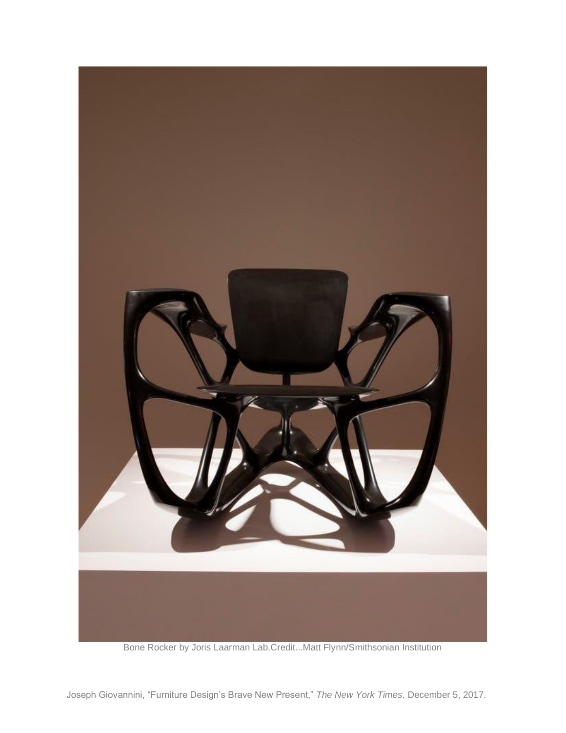

Bone Rocker by Joris Laarman Lab.Credit...Matt Flynn/Smithsonian Institution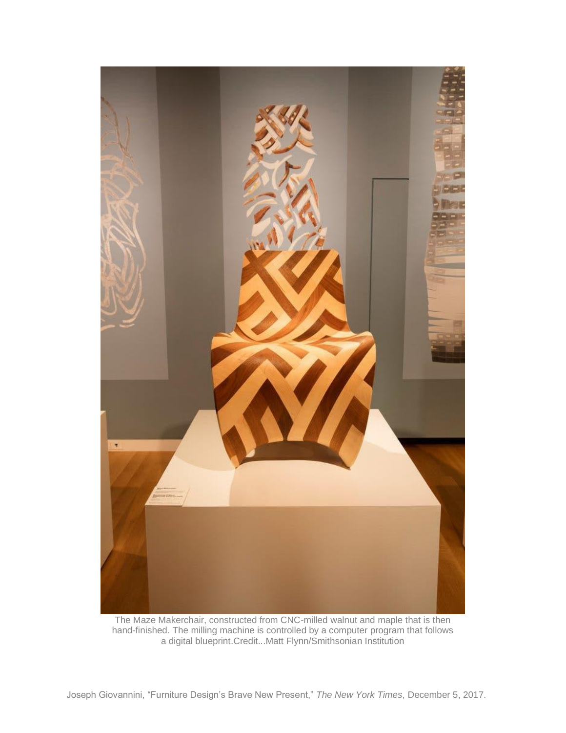

The Maze Makerchair, constructed from CNC-milled walnut and maple that is then hand-finished. The milling machine is controlled by a computer program that follows a digital blueprint.Credit...Matt Flynn/Smithsonian Institution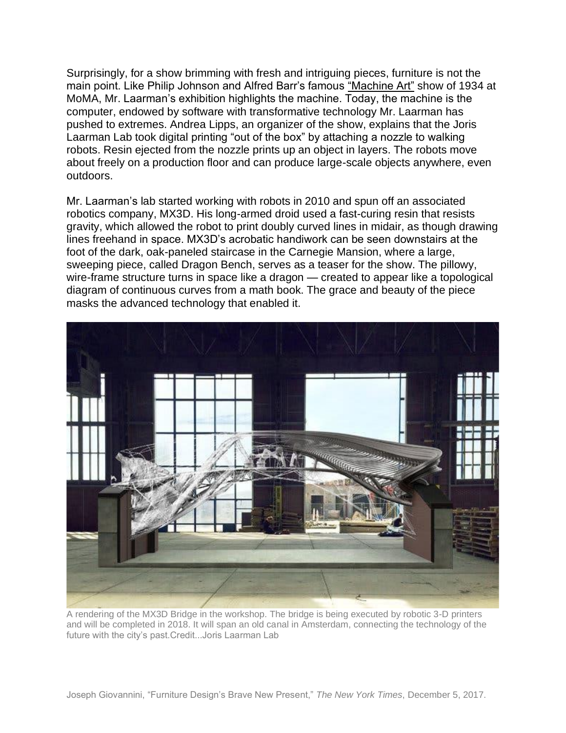Surprisingly, for a show brimming with fresh and intriguing pieces, furniture is not the main point. Like Philip Johnson and Alfred Barr's famous ["Machine Art"](https://www.moma.org/calendar/exhibitions/1784) show of 1934 at MoMA, Mr. Laarman's exhibition highlights the machine. Today, the machine is the computer, endowed by software with transformative technology Mr. Laarman has pushed to extremes. Andrea Lipps, an organizer of the show, explains that the Joris Laarman Lab took digital printing "out of the box" by attaching a nozzle to walking robots. Resin ejected from the nozzle prints up an object in layers. The robots move about freely on a production floor and can produce large-scale objects anywhere, even outdoors.

Mr. Laarman's lab started working with robots in 2010 and spun off an associated robotics company, MX3D. His long-armed droid used a fast-curing resin that resists gravity, which allowed the robot to print doubly curved lines in midair, as though drawing lines freehand in space. MX3D's acrobatic handiwork can be seen downstairs at the foot of the dark, oak-paneled staircase in the Carnegie Mansion, where a large, sweeping piece, called Dragon Bench, serves as a teaser for the show. The pillowy, wire-frame structure turns in space like a dragon — created to appear like a topological diagram of continuous curves from a math book. The grace and beauty of the piece masks the advanced technology that enabled it.



A rendering of the MX3D Bridge in the workshop. The bridge is being executed by robotic 3-D printers and will be completed in 2018. It will span an old canal in Amsterdam, connecting the technology of the future with the city's past.Credit...Joris Laarman Lab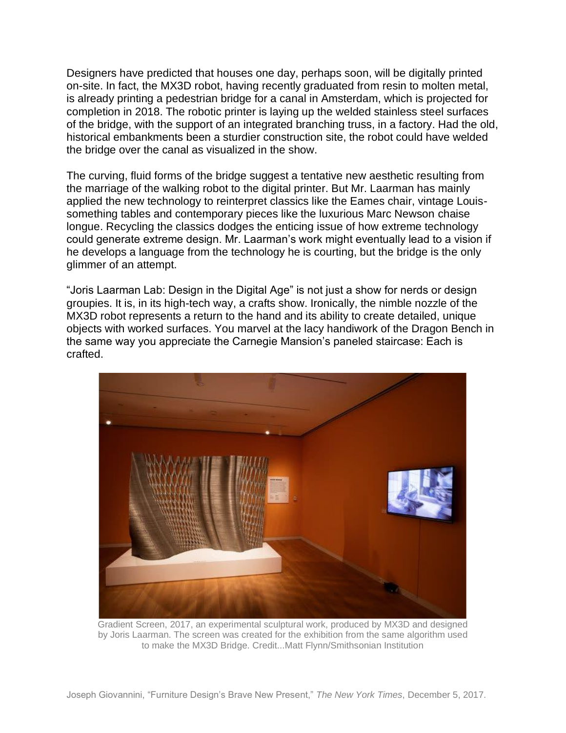Designers have predicted that houses one day, perhaps soon, will be digitally printed on-site. In fact, the MX3D robot, having recently graduated from resin to molten metal, is already printing a pedestrian bridge for a canal in Amsterdam, which is projected for completion in 2018. The robotic printer is laying up the welded stainless steel surfaces of the bridge, with the support of an integrated branching truss, in a factory. Had the old, historical embankments been a sturdier construction site, the robot could have welded the bridge over the canal as visualized in the show.

The curving, fluid forms of the bridge suggest a tentative new aesthetic resulting from the marriage of the walking robot to the digital printer. But Mr. Laarman has mainly applied the new technology to reinterpret classics like the Eames chair, vintage Louissomething tables and contemporary pieces like the luxurious Marc Newson chaise longue. Recycling the classics dodges the enticing issue of how extreme technology could generate extreme design. Mr. Laarman's work might eventually lead to a vision if he develops a language from the technology he is courting, but the bridge is the only glimmer of an attempt.

"Joris Laarman Lab: Design in the Digital Age" is not just a show for nerds or design groupies. It is, in its high-tech way, a crafts show. Ironically, the nimble nozzle of the MX3D robot represents a return to the hand and its ability to create detailed, unique objects with worked surfaces. You marvel at the lacy handiwork of the Dragon Bench in the same way you appreciate the Carnegie Mansion's paneled staircase: Each is crafted.



Gradient Screen, 2017, an experimental sculptural work, produced by MX3D and designed by Joris Laarman. The screen was created for the exhibition from the same algorithm used to make the MX3D Bridge. Credit...Matt Flynn/Smithsonian Institution